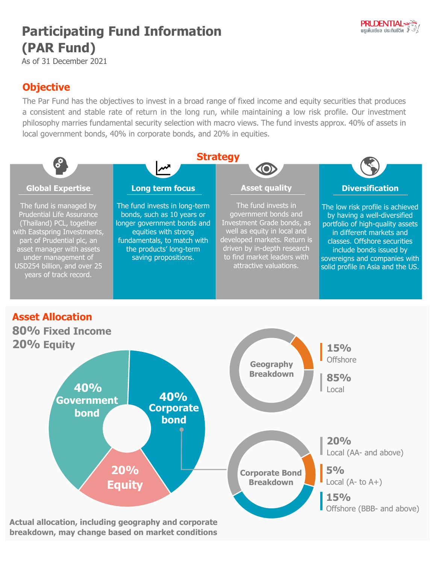

## **Participating Fund Information (PAR Fund)**

As of 31 December 2021

## **Objective**

The Par Fund has the objectives to invest in a broad range of fixed income and equity securities that produces a consistent and stable rate of return in the long run, while maintaining a low risk profile. Our investment philosophy marries fundamental security selection with macro views. The fund invests approx. 40% of assets in local government bonds, 40% in corporate bonds, and 20% in equities.